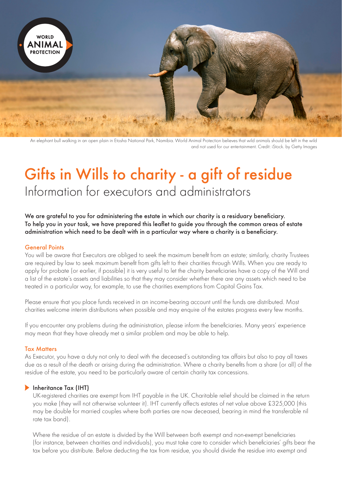

An elephant bull walking in an open plain in Etosha National Park, Namibia. World Animal Protection believes that wild animals should be left in the wild and not used for our entertainment. Credit: iStock. by Getty Images

# Gifts in Wills to charity - a gift of residue Information for executors and administrators

We are grateful to you for administering the estate in which our charity is a residuary beneficiary. To help you in your task, we have prepared this leaflet to guide you through the common areas of estate administration which need to be dealt with in a particular way where a charity is a beneficiary.

#### General Points

You will be aware that Executors are obliged to seek the maximum benefit from an estate; similarly, charity Trustees are required by law to seek maximum benefit from gifts left to their charities through Wills. When you are ready to apply for probate (or earlier, if possible) it is very useful to let the charity beneficiaries have a copy of the Will and a list of the estate's assets and liabilities so that they may consider whether there are any assets which need to be treated in a particular way, for example, to use the charities exemptions from Capital Gains Tax.

Please ensure that you place funds received in an income-bearing account until the funds are distributed. Most charities welcome interim distributions when possible and may enquire of the estates progress every few months.

If you encounter any problems during the administration, please inform the beneficiaries. Many years' experience may mean that they have already met a similar problem and may be able to help.

## Tax Matters

As Executor, you have a duty not only to deal with the deceased's outstanding tax affairs but also to pay all taxes due as a result of the death or arising during the administration. Where a charity benefits from a share (or all) of the residue of the estate, you need to be particularly aware of certain charity tax concessions.

## **Inheritance Tax (IHT)**

UK-registered charities are exempt from IHT payable in the UK. Charitable relief should be claimed in the return you make (they will not otherwise volunteer it). IHT currently affects estates of net value above £325,000 (this may be double for married couples where both parties are now deceased, bearing in mind the transferable nil rate tax band).

Where the residue of an estate is divided by the Will between both exempt and non-exempt beneficiaries (for instance, between charities and individuals), you must take care to consider which beneficiaries' gifts bear the tax before you distribute. Before deducting the tax from residue, you should divide the residue into exempt and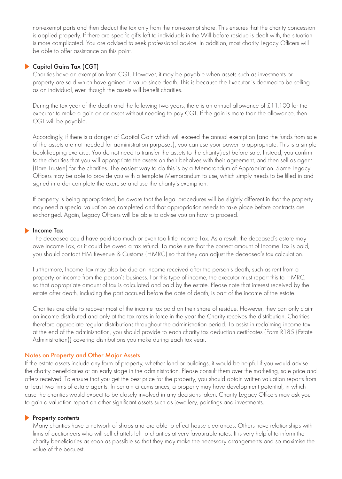non-exempt parts and then deduct the tax only from the non-exempt share. This ensures that the charity concession is applied properly. If there are specific gifts left to individuals in the Will before residue is dealt with, the situation is more complicated. You are advised to seek professional advice. In addition, most charity Legacy Officers will be able to offer assistance on this point.

# Capital Gains Tax (CGT)

Charities have an exemption from CGT. However, it may be payable when assets such as investments or property are sold which have gained in value since death. This is because the Executor is deemed to be selling as an individual, even though the assets will benefit charities.

During the tax year of the death and the following two years, there is an annual allowance of £11,100 for the executor to make a gain on an asset without needing to pay CGT. If the gain is more than the allowance, then CGT will be payable.

Accordingly, if there is a danger of Capital Gain which will exceed the annual exemption (and the funds from sale of the assets are not needed for administration purposes), you can use your power to appropriate. This is a simple book-keeping exercise. You do not need to transfer the assets to the charity(ies) before sale. Instead, you confirm to the charities that you will appropriate the assets on their behalves with their agreement, and then sell as agent (Bare Trustee) for the charities. The easiest way to do this is by a Memorandum of Appropriation. Some Legacy Officers may be able to provide you with a template Memorandum to use, which simply needs to be filled in and signed in order complete the exercise and use the charity's exemption.

If property is being appropriated, be aware that the legal procedures will be slightly different in that the property may need a special valuation be completed and that appropriation needs to take place before contracts are exchanged. Again, Legacy Officers will be able to advise you on how to proceed.

#### **Income Tax**

The deceased could have paid too much or even too little Income Tax. As a result, the deceased's estate may owe Income Tax, or it could be owed a tax refund. To make sure that the correct amount of Income Tax is paid, you should contact HM Revenue & Customs (HMRC) so that they can adjust the deceased's tax calculation.

Furthermore, Income Tax may also be due on income received after the person's death, such as rent from a property or income from the person's business. For this type of income, the executor must report this to HMRC, so that appropriate amount of tax is calculated and paid by the estate. Please note that interest received by the estate after death, including the part accrued before the date of death, is part of the income of the estate.

Charities are able to recover most of the income tax paid on their share of residue. However, they can only claim on income distributed and only at the tax rates in force in the year the Charity receives the distribution. Charities therefore appreciate regular distributions throughout the administration period. To assist in reclaiming income tax, at the end of the administration, you should provide to each charity tax deduction certificates {Form R185 (Estate Administration)} covering distributions you make during each tax year.

#### Notes on Property and Other Major Assets

If the estate assets include any form of property, whether land or buildings, it would be helpful if you would advise the charity beneficiaries at an early stage in the administration. Please consult them over the marketing, sale price and offers received. To ensure that you get the best price for the property, you should obtain written valuation reports from at least two firms of estate agents. In certain circumstances, a property may have development potential, in which case the charities would expect to be closely involved in any decisions taken. Charity Legacy Officers may ask you to gain a valuation report on other significant assets such as jewellery, paintings and investments.

#### Property contents

Many charities have a network of shops and are able to effect house clearances. Others have relationships with firms of auctioneers who will sell chattels left to charities at very favourable rates. It is very helpful to inform the charity beneficiaries as soon as possible so that they may make the necessary arrangements and so maximise the value of the bequest.